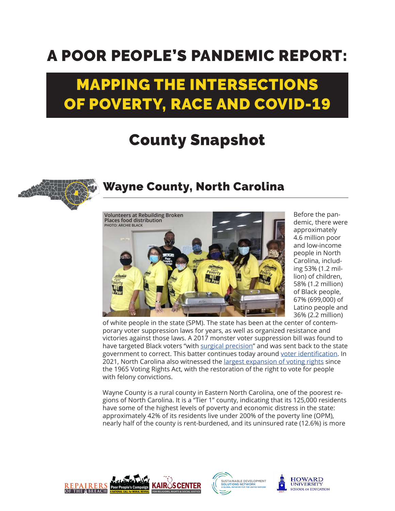## A POOR PEOPLE'S PANDEMIC REPORT:

## MAPPING THE INTERSECTIONS OF POVERTY, RACE AND COVID-19

## County Snapshot



## Wayne County, North Carolina



Before the pandemic, there were approximately 4.6 million poor and low-income people in North Carolina, including 53% (1.2 million) of children, 58% (1.2 million) of Black people, 67% (699,000) of Latino people and 36% (2.2 million)

of white people in the state (SPM). The state has been at the center of contemporary voter suppression laws for years, as well as organized resistance and victories against those laws. A 2017 monster voter suppression bill was found to have targeted Black voters "with [surgical precision](https://www.npr.org/sections/thetwo-way/2016/07/29/487935700/u-s-appeals-court-strikes-down-north-carolinas-voter-id-law)" and was sent back to the state government to correct. This batter continues today around [voter identification](https://www.scotusblog.com/case-files/cases/berger-v-north-carolina-state-conference-of-the-naacp/). In 2021, North Carolina also witnessed the *largest expansion of voting rights* since the 1965 Voting Rights Act, with the restoration of the right to vote for people with felony convictions.

Wayne County is a rural county in Eastern North Carolina, one of the poorest regions of North Carolina. It is a "Tier 1" county, indicating that its 125,000 residents have some of the highest levels of poverty and economic distress in the state: approximately 42% of its residents live under 200% of the poverty line (OPM), nearly half of the county is rent-burdened, and its uninsured rate (12.6%) is more